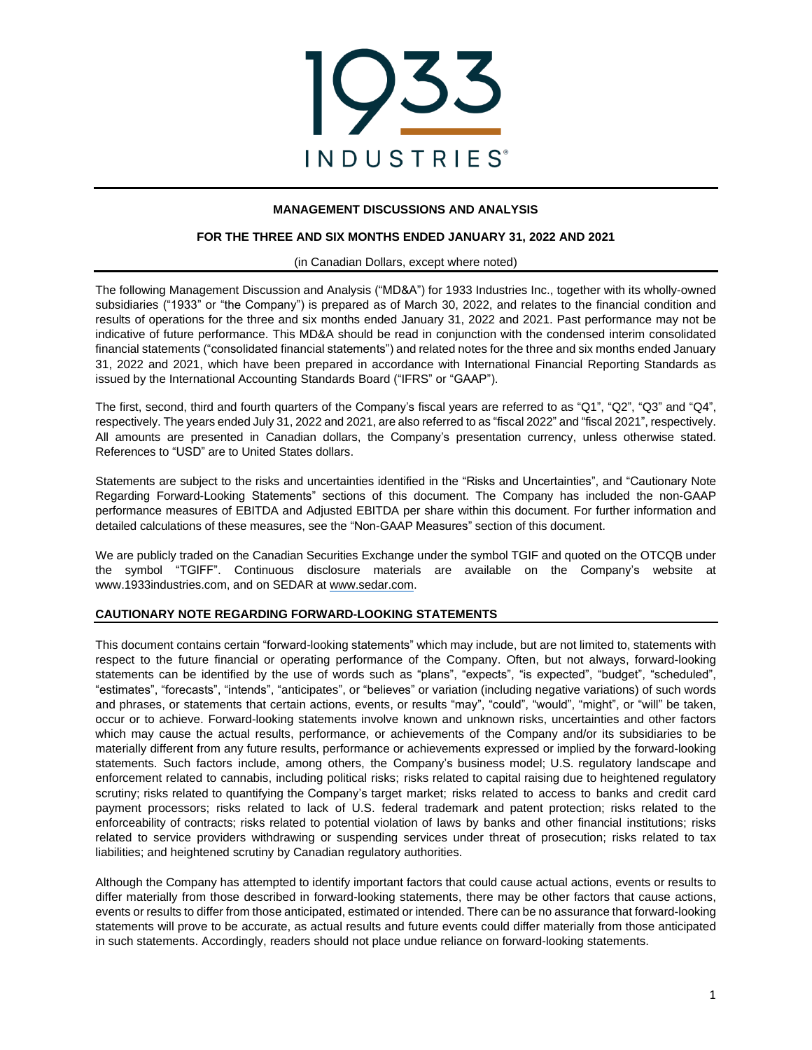

# **MANAGEMENT DISCUSSIONS AND ANALYSIS**

### **FOR THE THREE AND SIX MONTHS ENDED JANUARY 31, 2022 AND 2021**

#### (in Canadian Dollars, except where noted)

The following Management Discussion and Analysis ("MD&A") for 1933 Industries Inc., together with its wholly-owned subsidiaries ("1933" or "the Company") is prepared as of March 30, 2022, and relates to the financial condition and results of operations for the three and six months ended January 31, 2022 and 2021. Past performance may not be indicative of future performance. This MD&A should be read in conjunction with the condensed interim consolidated financial statements ("consolidated financial statements") and related notes for the three and six months ended January 31, 2022 and 2021, which have been prepared in accordance with International Financial Reporting Standards as issued by the International Accounting Standards Board ("IFRS" or "GAAP").

The first, second, third and fourth quarters of the Company's fiscal years are referred to as "Q1", "Q2", "Q3" and "Q4", respectively. The years ended July 31, 2022 and 2021, are also referred to as "fiscal 2022" and "fiscal 2021", respectively. All amounts are presented in Canadian dollars, the Company's presentation currency, unless otherwise stated. References to "USD" are to United States dollars.

Statements are subject to the risks and uncertainties identified in the "Risks and Uncertainties", and "Cautionary Note Regarding Forward-Looking Statements" sections of this document. The Company has included the non-GAAP performance measures of EBITDA and Adjusted EBITDA per share within this document. For further information and detailed calculations of these measures, see the "Non-GAAP Measures" section of this document.

We are publicly traded on the Canadian Securities Exchange under the symbol TGIF and quoted on the OTCQB under the symbol "TGIFF". Continuous disclosure materials are available on the Company's website at www.1933industries.com, and on SEDAR at www.sedar.com.

### **CAUTIONARY NOTE REGARDING FORWARD-LOOKING STATEMENTS**

This document contains certain "forward-looking statements" which may include, but are not limited to, statements with respect to the future financial or operating performance of the Company. Often, but not always, forward-looking statements can be identified by the use of words such as "plans", "expects", "is expected", "budget", "scheduled", "estimates", "forecasts", "intends", "anticipates", or "believes" or variation (including negative variations) of such words and phrases, or statements that certain actions, events, or results "may", "could", "would", "might", or "will" be taken, occur or to achieve. Forward-looking statements involve known and unknown risks, uncertainties and other factors which may cause the actual results, performance, or achievements of the Company and/or its subsidiaries to be materially different from any future results, performance or achievements expressed or implied by the forward-looking statements. Such factors include, among others, the Company's business model; U.S. regulatory landscape and enforcement related to cannabis, including political risks; risks related to capital raising due to heightened regulatory scrutiny; risks related to quantifying the Company's target market; risks related to access to banks and credit card payment processors; risks related to lack of U.S. federal trademark and patent protection; risks related to the enforceability of contracts; risks related to potential violation of laws by banks and other financial institutions; risks related to service providers withdrawing or suspending services under threat of prosecution; risks related to tax liabilities; and heightened scrutiny by Canadian regulatory authorities.

Although the Company has attempted to identify important factors that could cause actual actions, events or results to differ materially from those described in forward-looking statements, there may be other factors that cause actions, events or results to differ from those anticipated, estimated or intended. There can be no assurance that forward-looking statements will prove to be accurate, as actual results and future events could differ materially from those anticipated in such statements. Accordingly, readers should not place undue reliance on forward-looking statements.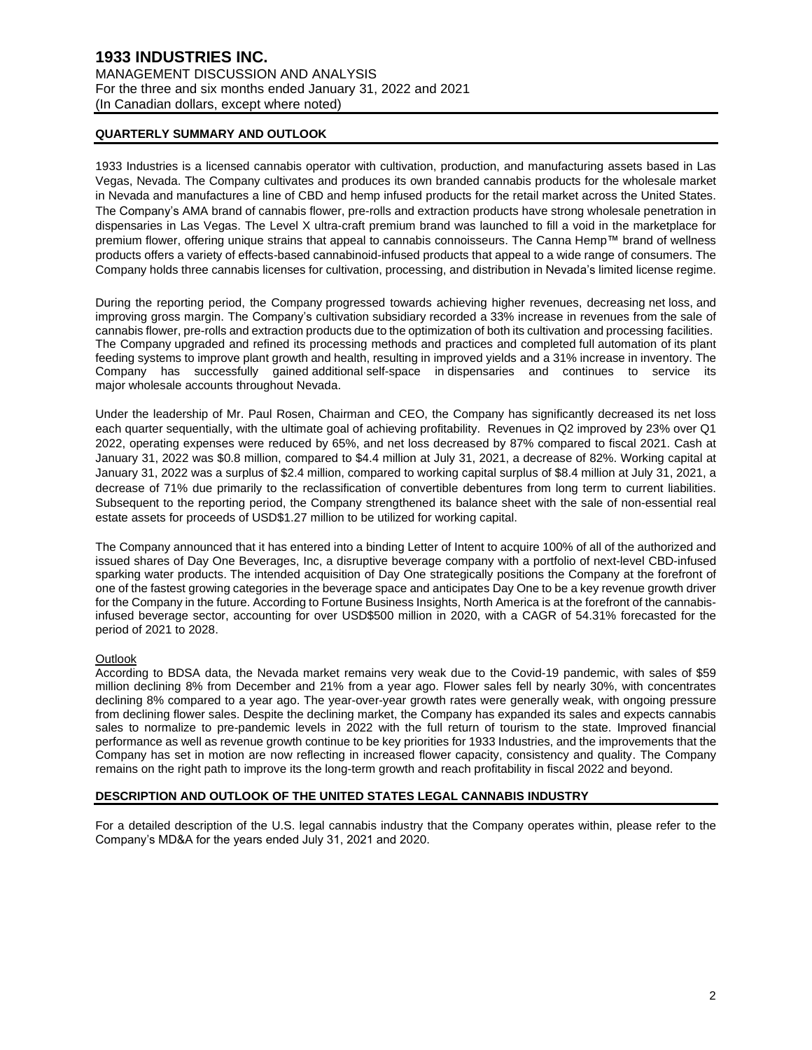# **QUARTERLY SUMMARY AND OUTLOOK**

1933 Industries is a licensed cannabis operator with cultivation, production, and manufacturing assets based in Las Vegas, Nevada. The Company cultivates and produces its own branded cannabis products for the wholesale market in Nevada and manufactures a line of CBD and hemp infused products for the retail market across the United States. The Company's AMA brand of cannabis flower, pre-rolls and extraction products have strong wholesale penetration in dispensaries in Las Vegas. The Level X ultra-craft premium brand was launched to fill a void in the marketplace for premium flower, offering unique strains that appeal to cannabis connoisseurs. The Canna Hemp™ brand of wellness products offers a variety of effects-based cannabinoid-infused products that appeal to a wide range of consumers. The Company holds three cannabis licenses for cultivation, processing, and distribution in Nevada's limited license regime.

During the reporting period, the Company progressed towards achieving higher revenues, decreasing net loss, and improving gross margin. The Company's cultivation subsidiary recorded a 33% increase in revenues from the sale of cannabis flower, pre-rolls and extraction products due to the optimization of both its cultivation and processing facilities. The Company upgraded and refined its processing methods and practices and completed full automation of its plant feeding systems to improve plant growth and health, resulting in improved yields and a 31% increase in inventory. The Company has successfully gained additional self-space in dispensaries and continues to service its major wholesale accounts throughout Nevada.

Under the leadership of Mr. Paul Rosen, Chairman and CEO, the Company has significantly decreased its net loss each quarter sequentially, with the ultimate goal of achieving profitability. Revenues in Q2 improved by 23% over Q1 2022, operating expenses were reduced by 65%, and net loss decreased by 87% compared to fiscal 2021. Cash at January 31, 2022 was \$0.8 million, compared to \$4.4 million at July 31, 2021, a decrease of 82%. Working capital at January 31, 2022 was a surplus of \$2.4 million, compared to working capital surplus of \$8.4 million at July 31, 2021, a decrease of 71% due primarily to the reclassification of convertible debentures from long term to current liabilities. Subsequent to the reporting period, the Company strengthened its balance sheet with the sale of non-essential real estate assets for proceeds of USD\$1.27 million to be utilized for working capital.

The Company announced that it has entered into a binding Letter of Intent to acquire 100% of all of the authorized and issued shares of Day One Beverages, Inc, a disruptive beverage company with a portfolio of next-level CBD-infused sparking water products. The intended acquisition of Day One strategically positions the Company at the forefront of one of the fastest growing categories in the beverage space and anticipates Day One to be a key revenue growth driver for the Company in the future. According to Fortune Business Insights, North America is at the forefront of the cannabisinfused beverage sector, accounting for over USD\$500 million in 2020, with a CAGR of 54.31% forecasted for the period of 2021 to 2028.

### **Outlook**

According to BDSA data, the Nevada market remains very weak due to the Covid-19 pandemic, with sales of \$59 million declining 8% from December and 21% from a year ago. Flower sales fell by nearly 30%, with concentrates declining 8% compared to a year ago. The year-over-year growth rates were generally weak, with ongoing pressure from declining flower sales. Despite the declining market, the Company has expanded its sales and expects cannabis sales to normalize to pre-pandemic levels in 2022 with the full return of tourism to the state. Improved financial performance as well as revenue growth continue to be key priorities for 1933 Industries, and the improvements that the Company has set in motion are now reflecting in increased flower capacity, consistency and quality. The Company remains on the right path to improve its the long-term growth and reach profitability in fiscal 2022 and beyond.

### **DESCRIPTION AND OUTLOOK OF THE UNITED STATES LEGAL CANNABIS INDUSTRY**

For a detailed description of the U.S. legal cannabis industry that the Company operates within, please refer to the Company's MD&A for the years ended July 31, 2021 and 2020.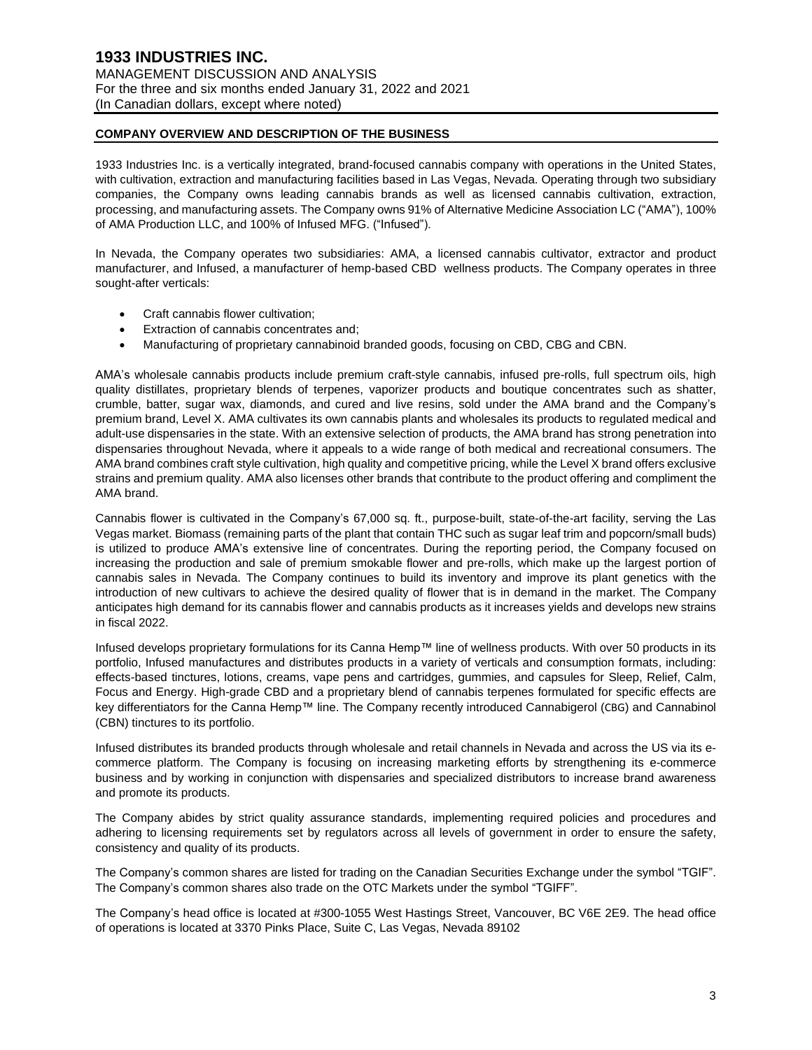### **COMPANY OVERVIEW AND DESCRIPTION OF THE BUSINESS**

1933 Industries Inc. is a vertically integrated, brand-focused cannabis company with operations in the United States, with cultivation, extraction and manufacturing facilities based in Las Vegas, Nevada. Operating through two subsidiary companies, the Company owns leading cannabis brands as well as licensed cannabis cultivation, extraction, processing, and manufacturing assets. The Company owns 91% of Alternative Medicine Association LC ("AMA"), 100% of AMA Production LLC, and 100% of Infused MFG. ("Infused").

In Nevada, the Company operates two subsidiaries: AMA, a licensed cannabis cultivator, extractor and product manufacturer, and Infused, a manufacturer of hemp-based CBD wellness products. The Company operates in three sought-after verticals:

- Craft cannabis flower cultivation;
- Extraction of cannabis concentrates and;
- Manufacturing of proprietary cannabinoid branded goods, focusing on CBD, CBG and CBN.

AMA's wholesale cannabis products include premium craft-style cannabis, infused pre-rolls, full spectrum oils, high quality distillates, proprietary blends of terpenes, vaporizer products and boutique concentrates such as shatter, crumble, batter, sugar wax, diamonds, and cured and live resins, sold under the AMA brand and the Company's premium brand, Level X. AMA cultivates its own cannabis plants and wholesales its products to regulated medical and adult-use dispensaries in the state. With an extensive selection of products, the AMA brand has strong penetration into dispensaries throughout Nevada, where it appeals to a wide range of both medical and recreational consumers. The AMA brand combines craft style cultivation, high quality and competitive pricing, while the Level X brand offers exclusive strains and premium quality. AMA also licenses other brands that contribute to the product offering and compliment the AMA brand.

Cannabis flower is cultivated in the Company's 67,000 sq. ft., purpose-built, state-of-the-art facility, serving the Las Vegas market. Biomass (remaining parts of the plant that contain THC such as sugar leaf trim and popcorn/small buds) is utilized to produce AMA's extensive line of concentrates. During the reporting period, the Company focused on increasing the production and sale of premium smokable flower and pre-rolls, which make up the largest portion of cannabis sales in Nevada. The Company continues to build its inventory and improve its plant genetics with the introduction of new cultivars to achieve the desired quality of flower that is in demand in the market. The Company anticipates high demand for its cannabis flower and cannabis products as it increases yields and develops new strains in fiscal 2022.

Infused develops proprietary formulations for its Canna Hemp™ line of wellness products. With over 50 products in its portfolio, Infused manufactures and distributes products in a variety of verticals and consumption formats, including: effects-based tinctures, lotions, creams, vape pens and cartridges, gummies, and capsules for Sleep, Relief, Calm, Focus and Energy. High-grade CBD and a proprietary blend of cannabis terpenes formulated for specific effects are key differentiators for the Canna Hemp™ line. The Company recently introduced Cannabigerol (CBG) and Cannabinol (CBN) tinctures to its portfolio.

Infused distributes its branded products through wholesale and retail channels in Nevada and across the US via its ecommerce platform. The Company is focusing on increasing marketing efforts by strengthening its e-commerce business and by working in conjunction with dispensaries and specialized distributors to increase brand awareness and promote its products.

The Company abides by strict quality assurance standards, implementing required policies and procedures and adhering to licensing requirements set by regulators across all levels of government in order to ensure the safety, consistency and quality of its products.

The Company's common shares are listed for trading on the Canadian Securities Exchange under the symbol "TGIF". The Company's common shares also trade on the OTC Markets under the symbol "TGIFF".

The Company's head office is located at #300-1055 West Hastings Street, Vancouver, BC V6E 2E9. The head office of operations is located at 3370 Pinks Place, Suite C, Las Vegas, Nevada 89102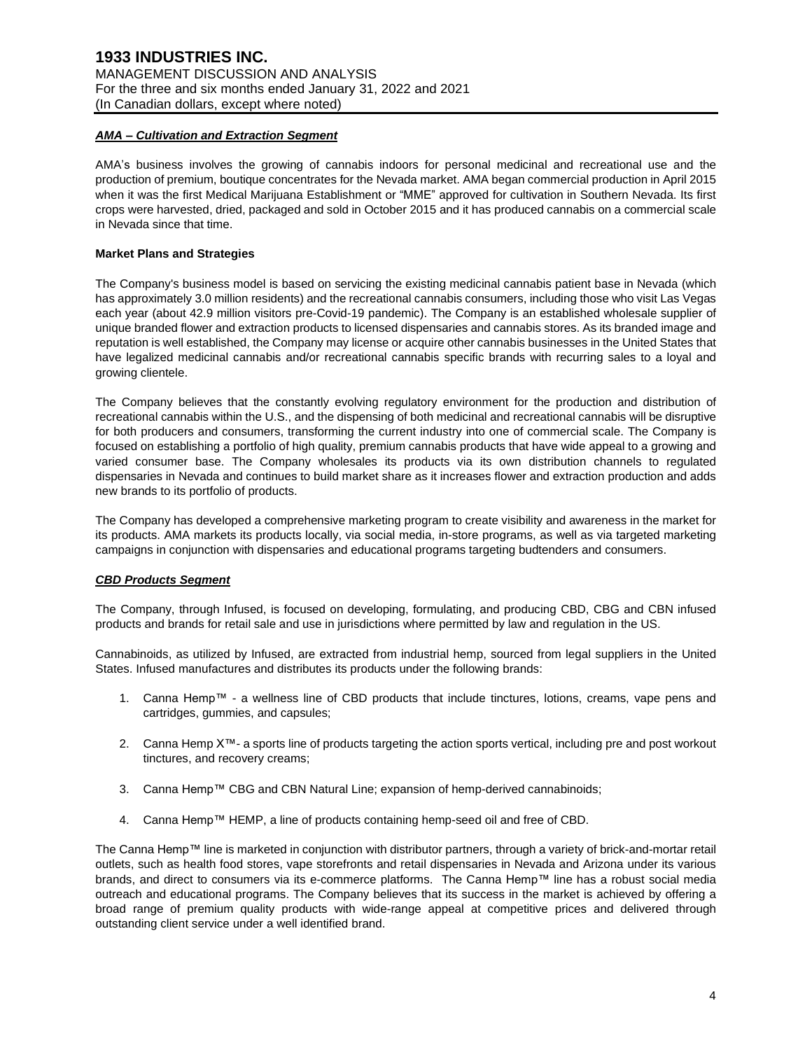### *AMA – Cultivation and Extraction Segment*

AMA's business involves the growing of cannabis indoors for personal medicinal and recreational use and the production of premium, boutique concentrates for the Nevada market. AMA began commercial production in April 2015 when it was the first Medical Marijuana Establishment or "MME" approved for cultivation in Southern Nevada. Its first crops were harvested, dried, packaged and sold in October 2015 and it has produced cannabis on a commercial scale in Nevada since that time.

### **Market Plans and Strategies**

The Company's business model is based on servicing the existing medicinal cannabis patient base in Nevada (which has approximately 3.0 million residents) and the recreational cannabis consumers, including those who visit Las Vegas each year (about 42.9 million visitors pre-Covid-19 pandemic). The Company is an established wholesale supplier of unique branded flower and extraction products to licensed dispensaries and cannabis stores. As its branded image and reputation is well established, the Company may license or acquire other cannabis businesses in the United States that have legalized medicinal cannabis and/or recreational cannabis specific brands with recurring sales to a loyal and growing clientele.

The Company believes that the constantly evolving regulatory environment for the production and distribution of recreational cannabis within the U.S., and the dispensing of both medicinal and recreational cannabis will be disruptive for both producers and consumers, transforming the current industry into one of commercial scale. The Company is focused on establishing a portfolio of high quality, premium cannabis products that have wide appeal to a growing and varied consumer base. The Company wholesales its products via its own distribution channels to regulated dispensaries in Nevada and continues to build market share as it increases flower and extraction production and adds new brands to its portfolio of products.

The Company has developed a comprehensive marketing program to create visibility and awareness in the market for its products. AMA markets its products locally, via social media, in-store programs, as well as via targeted marketing campaigns in conjunction with dispensaries and educational programs targeting budtenders and consumers.

### *CBD Products Segment*

The Company, through Infused, is focused on developing, formulating, and producing CBD, CBG and CBN infused products and brands for retail sale and use in jurisdictions where permitted by law and regulation in the US.

Cannabinoids, as utilized by Infused, are extracted from industrial hemp, sourced from legal suppliers in the United States. Infused manufactures and distributes its products under the following brands:

- 1. Canna Hemp™ a wellness line of CBD products that include tinctures, lotions, creams, vape pens and cartridges, gummies, and capsules;
- 2. Canna Hemp X™- a sports line of products targeting the action sports vertical, including pre and post workout tinctures, and recovery creams;
- 3. Canna Hemp™ CBG and CBN Natural Line; expansion of hemp-derived cannabinoids;
- 4. Canna Hemp™ HEMP, a line of products containing hemp-seed oil and free of CBD.

The Canna Hemp™ line is marketed in conjunction with distributor partners, through a variety of brick-and-mortar retail outlets, such as health food stores, vape storefronts and retail dispensaries in Nevada and Arizona under its various brands, and direct to consumers via its e-commerce platforms. The Canna Hemp™ line has a robust social media outreach and educational programs. The Company believes that its success in the market is achieved by offering a broad range of premium quality products with wide-range appeal at competitive prices and delivered through outstanding client service under a well identified brand.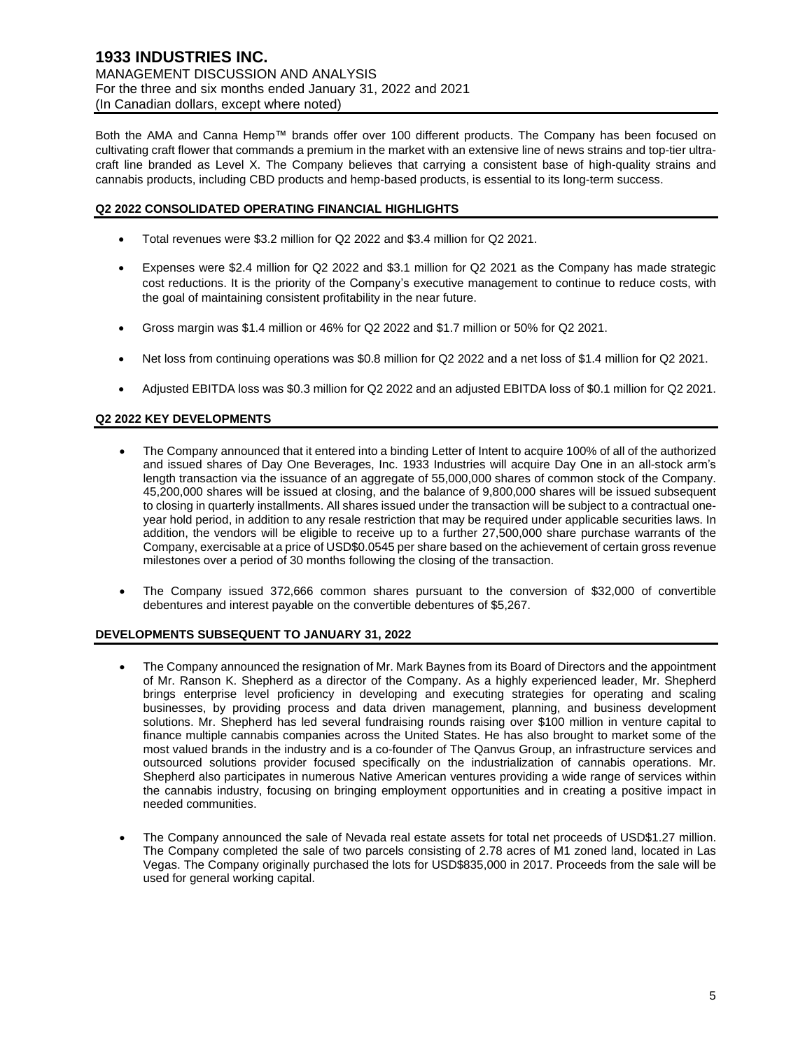Both the AMA and Canna Hemp™ brands offer over 100 different products. The Company has been focused on cultivating craft flower that commands a premium in the market with an extensive line of news strains and top-tier ultracraft line branded as Level X. The Company believes that carrying a consistent base of high-quality strains and cannabis products, including CBD products and hemp-based products, is essential to its long-term success.

# **Q2 2022 CONSOLIDATED OPERATING FINANCIAL HIGHLIGHTS**

- Total revenues were \$3.2 million for Q2 2022 and \$3.4 million for Q2 2021.
- Expenses were \$2.4 million for Q2 2022 and \$3.1 million for Q2 2021 as the Company has made strategic cost reductions. It is the priority of the Company's executive management to continue to reduce costs, with the goal of maintaining consistent profitability in the near future.
- Gross margin was \$1.4 million or 46% for Q2 2022 and \$1.7 million or 50% for Q2 2021.
- Net loss from continuing operations was \$0.8 million for Q2 2022 and a net loss of \$1.4 million for Q2 2021.
- Adjusted EBITDA loss was \$0.3 million for Q2 2022 and an adjusted EBITDA loss of \$0.1 million for Q2 2021.

# **Q2 2022 KEY DEVELOPMENTS**

- The Company announced that it entered into a binding Letter of Intent to acquire 100% of all of the authorized and issued shares of Day One Beverages, Inc. 1933 Industries will acquire Day One in an all-stock arm's length transaction via the issuance of an aggregate of 55,000,000 shares of common stock of the Company. 45,200,000 shares will be issued at closing, and the balance of 9,800,000 shares will be issued subsequent to closing in quarterly installments. All shares issued under the transaction will be subject to a contractual oneyear hold period, in addition to any resale restriction that may be required under applicable securities laws. In addition, the vendors will be eligible to receive up to a further 27,500,000 share purchase warrants of the Company, exercisable at a price of USD\$0.0545 per share based on the achievement of certain gross revenue milestones over a period of 30 months following the closing of the transaction.
- The Company issued 372,666 common shares pursuant to the conversion of \$32,000 of convertible debentures and interest payable on the convertible debentures of \$5,267.

# **DEVELOPMENTS SUBSEQUENT TO JANUARY 31, 2022**

- The Company announced the resignation of Mr. Mark Baynes from its Board of Directors and the appointment of Mr. Ranson K. Shepherd as a director of the Company. As a highly experienced leader, Mr. Shepherd brings enterprise level proficiency in developing and executing strategies for operating and scaling businesses, by providing process and data driven management, planning, and business development solutions. Mr. Shepherd has led several fundraising rounds raising over \$100 million in venture capital to finance multiple cannabis companies across the United States. He has also brought to market some of the most valued brands in the industry and is a co-founder of The Qanvus Group, an infrastructure services and outsourced solutions provider focused specifically on the industrialization of cannabis operations. Mr. Shepherd also participates in numerous Native American ventures providing a wide range of services within the cannabis industry, focusing on bringing employment opportunities and in creating a positive impact in needed communities.
- The Company announced the sale of Nevada real estate assets for total net proceeds of USD\$1.27 million. The Company completed the sale of two parcels consisting of 2.78 acres of M1 zoned land, located in Las Vegas. The Company originally purchased the lots for USD\$835,000 in 2017. Proceeds from the sale will be used for general working capital.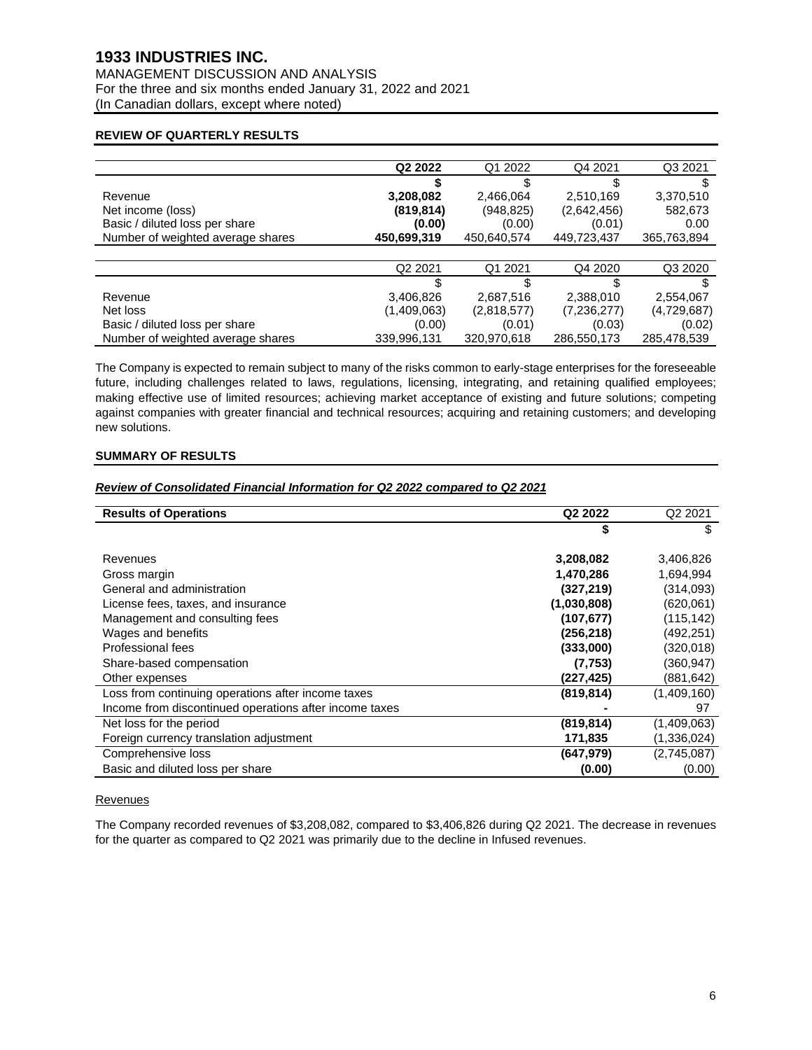# **1933 INDUSTRIES INC.**

MANAGEMENT DISCUSSION AND ANALYSIS For the three and six months ended January 31, 2022 and 2021 (In Canadian dollars, except where noted)

### **REVIEW OF QUARTERLY RESULTS**

|                                   | Q <sub>2</sub> 2022 | Q1 2022     | Q4 2021     | Q3 2021     |
|-----------------------------------|---------------------|-------------|-------------|-------------|
|                                   |                     |             | \$          |             |
| Revenue                           | 3,208,082           | 2,466,064   | 2,510,169   | 3,370,510   |
| Net income (loss)                 | (819, 814)          | (948, 825)  | (2,642,456) | 582,673     |
| Basic / diluted loss per share    | (0.00)              | (0.00)      | (0.01)      | 0.00        |
| Number of weighted average shares | 450,699,319         | 450,640,574 | 449,723,437 | 365,763,894 |
|                                   |                     |             |             |             |
|                                   | Q <sub>2</sub> 2021 | Q1 2021     | Q4 2020     | Q3 2020     |
|                                   |                     | \$.         | \$          | \$          |
| Revenue                           | 3,406,826           | 2.687.516   | 2,388,010   | 2,554,067   |
| Net loss                          | (1,409,063)         | (2,818,577) | (7,236,277) | (4,729,687) |
| Basic / diluted loss per share    | (0.00)              | (0.01)      | (0.03)      | (0.02)      |
| Number of weighted average shares | 339,996,131         | 320,970,618 | 286,550,173 | 285,478,539 |

The Company is expected to remain subject to many of the risks common to early-stage enterprises for the foreseeable future, including challenges related to laws, regulations, licensing, integrating, and retaining qualified employees; making effective use of limited resources; achieving market acceptance of existing and future solutions; competing against companies with greater financial and technical resources; acquiring and retaining customers; and developing new solutions.

# **SUMMARY OF RESULTS**

# *Review of Consolidated Financial Information for Q2 2022 compared to Q2 2021*

| <b>Results of Operations</b>                           | Q <sub>2</sub> 2022 | Q <sub>2</sub> 2021 |
|--------------------------------------------------------|---------------------|---------------------|
|                                                        | 5                   | \$                  |
| Revenues                                               | 3,208,082           | 3,406,826           |
| Gross margin                                           | 1,470,286           | 1,694,994           |
| General and administration                             | (327, 219)          | (314,093)           |
| License fees, taxes, and insurance                     | (1,030,808)         | (620,061)           |
| Management and consulting fees                         | (107, 677)          | (115, 142)          |
| Wages and benefits                                     | (256, 218)          | (492, 251)          |
| Professional fees                                      | (333,000)           | (320, 018)          |
| Share-based compensation                               | (7, 753)            | (360, 947)          |
| Other expenses                                         | (227,425)           | (881, 642)          |
| Loss from continuing operations after income taxes     | (819, 814)          | (1,409,160)         |
| Income from discontinued operations after income taxes |                     | 97                  |
| Net loss for the period                                | (819, 814)          | (1,409,063)         |
| Foreign currency translation adjustment                | 171,835             | (1, 336, 024)       |
| Comprehensive loss                                     | (647, 979)          | (2,745,087)         |
| Basic and diluted loss per share                       | (0.00)              | (0.00)              |

### **Revenues**

The Company recorded revenues of \$3,208,082, compared to \$3,406,826 during Q2 2021. The decrease in revenues for the quarter as compared to Q2 2021 was primarily due to the decline in Infused revenues.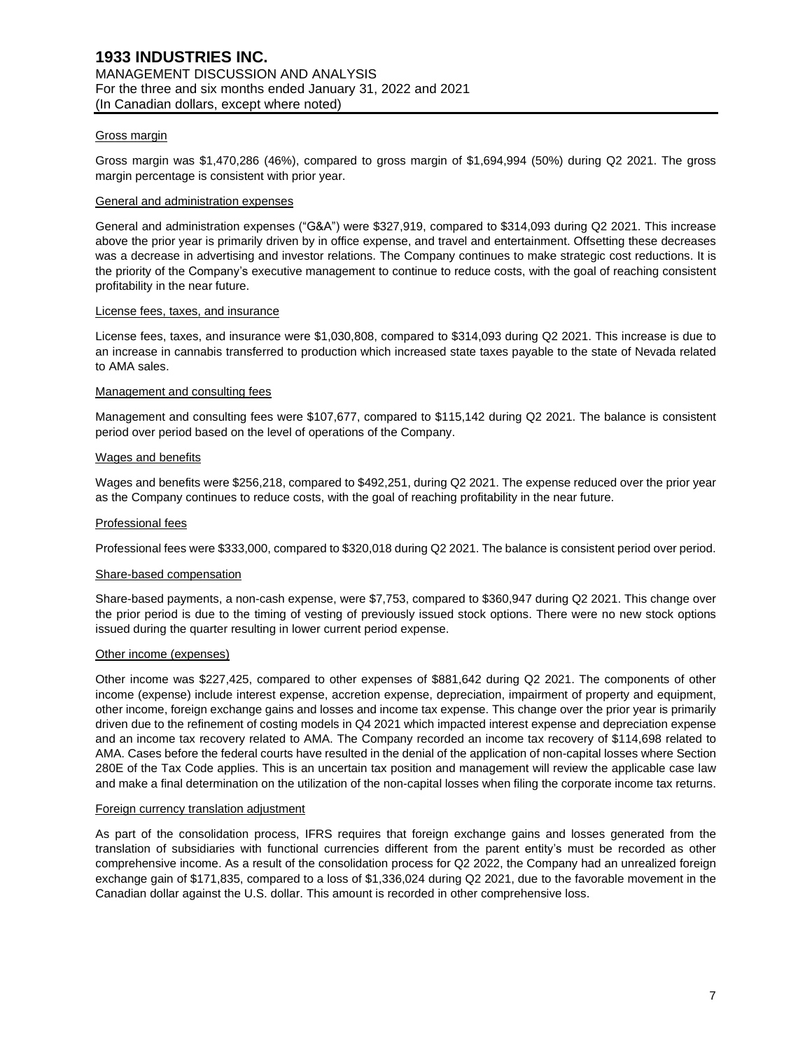#### Gross margin

Gross margin was \$1,470,286 (46%), compared to gross margin of \$1,694,994 (50%) during Q2 2021. The gross margin percentage is consistent with prior year.

#### General and administration expenses

General and administration expenses ("G&A") were \$327,919, compared to \$314,093 during Q2 2021. This increase above the prior year is primarily driven by in office expense, and travel and entertainment. Offsetting these decreases was a decrease in advertising and investor relations. The Company continues to make strategic cost reductions. It is the priority of the Company's executive management to continue to reduce costs, with the goal of reaching consistent profitability in the near future.

#### License fees, taxes, and insurance

License fees, taxes, and insurance were \$1,030,808, compared to \$314,093 during Q2 2021. This increase is due to an increase in cannabis transferred to production which increased state taxes payable to the state of Nevada related to AMA sales.

#### Management and consulting fees

Management and consulting fees were \$107,677, compared to \$115,142 during Q2 2021. The balance is consistent period over period based on the level of operations of the Company.

#### Wages and benefits

Wages and benefits were \$256,218, compared to \$492,251, during Q2 2021. The expense reduced over the prior year as the Company continues to reduce costs, with the goal of reaching profitability in the near future.

### Professional fees

Professional fees were \$333,000, compared to \$320,018 during Q2 2021. The balance is consistent period over period.

#### Share-based compensation

Share-based payments, a non-cash expense, were \$7,753, compared to \$360,947 during Q2 2021. This change over the prior period is due to the timing of vesting of previously issued stock options. There were no new stock options issued during the quarter resulting in lower current period expense.

#### Other income (expenses)

Other income was \$227,425, compared to other expenses of \$881,642 during Q2 2021. The components of other income (expense) include interest expense, accretion expense, depreciation, impairment of property and equipment, other income, foreign exchange gains and losses and income tax expense. This change over the prior year is primarily driven due to the refinement of costing models in Q4 2021 which impacted interest expense and depreciation expense and an income tax recovery related to AMA. The Company recorded an income tax recovery of \$114,698 related to AMA. Cases before the federal courts have resulted in the denial of the application of non-capital losses where Section 280E of the Tax Code applies. This is an uncertain tax position and management will review the applicable case law and make a final determination on the utilization of the non-capital losses when filing the corporate income tax returns.

#### Foreign currency translation adjustment

As part of the consolidation process, IFRS requires that foreign exchange gains and losses generated from the translation of subsidiaries with functional currencies different from the parent entity's must be recorded as other comprehensive income. As a result of the consolidation process for Q2 2022, the Company had an unrealized foreign exchange gain of \$171,835, compared to a loss of \$1,336,024 during Q2 2021, due to the favorable movement in the Canadian dollar against the U.S. dollar. This amount is recorded in other comprehensive loss.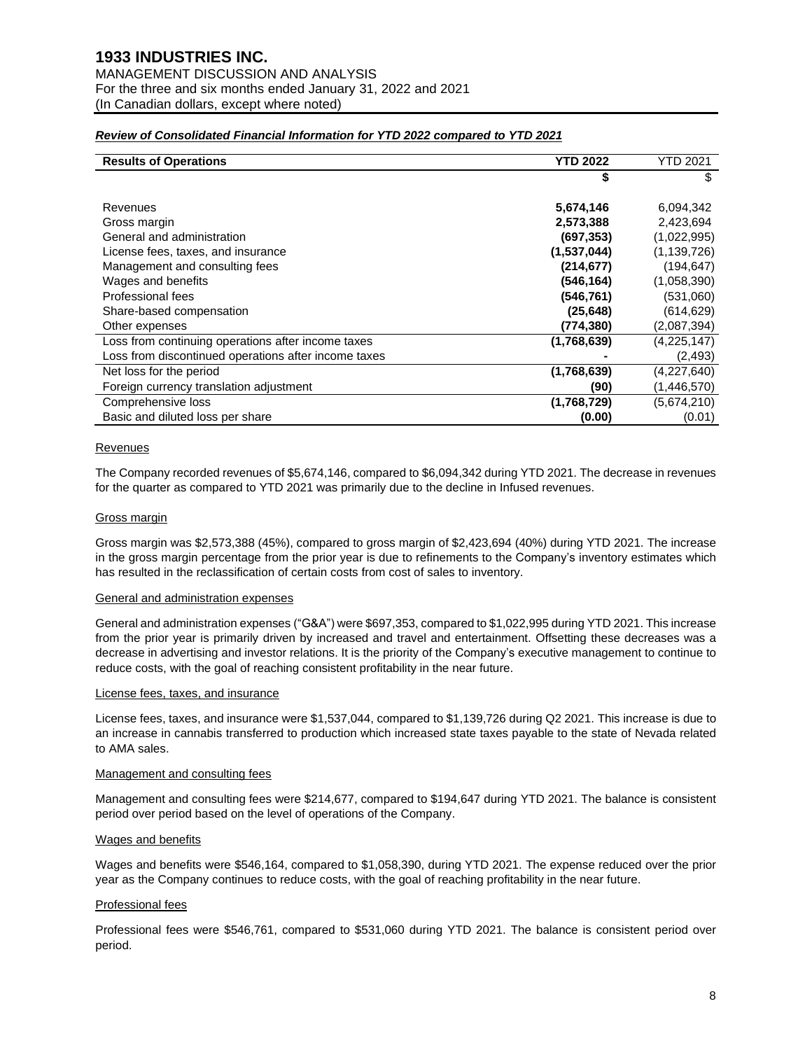### *Review of Consolidated Financial Information for YTD 2022 compared to YTD 2021*

| <b>Results of Operations</b>                         | <b>YTD 2022</b> | YTD 2021      |
|------------------------------------------------------|-----------------|---------------|
|                                                      |                 | \$            |
|                                                      |                 |               |
| Revenues                                             | 5,674,146       | 6,094,342     |
| Gross margin                                         | 2,573,388       | 2,423,694     |
| General and administration                           | (697, 353)      | (1,022,995)   |
| License fees, taxes, and insurance                   | (1,537,044)     | (1, 139, 726) |
| Management and consulting fees                       | (214, 677)      | (194, 647)    |
| Wages and benefits                                   | (546, 164)      | (1,058,390)   |
| Professional fees                                    | (546, 761)      | (531,060)     |
| Share-based compensation                             | (25, 648)       | (614, 629)    |
| Other expenses                                       | (774, 380)      | (2,087,394)   |
| Loss from continuing operations after income taxes   | (1,768,639)     | (4,225,147)   |
| Loss from discontinued operations after income taxes |                 | (2, 493)      |
| Net loss for the period                              | (1,768,639)     | (4,227,640)   |
| Foreign currency translation adjustment              | (90)            | (1, 446, 570) |
| Comprehensive loss                                   | (1,768,729)     | (5,674,210)   |
| Basic and diluted loss per share                     | (0.00)          | (0.01)        |

### Revenues

The Company recorded revenues of \$5,674,146, compared to \$6,094,342 during YTD 2021. The decrease in revenues for the quarter as compared to YTD 2021 was primarily due to the decline in Infused revenues.

### Gross margin

Gross margin was \$2,573,388 (45%), compared to gross margin of \$2,423,694 (40%) during YTD 2021. The increase in the gross margin percentage from the prior year is due to refinements to the Company's inventory estimates which has resulted in the reclassification of certain costs from cost of sales to inventory.

#### General and administration expenses

General and administration expenses ("G&A") were \$697,353, compared to \$1,022,995 during YTD 2021. This increase from the prior year is primarily driven by increased and travel and entertainment. Offsetting these decreases was a decrease in advertising and investor relations. It is the priority of the Company's executive management to continue to reduce costs, with the goal of reaching consistent profitability in the near future.

#### License fees, taxes, and insurance

License fees, taxes, and insurance were \$1,537,044, compared to \$1,139,726 during Q2 2021. This increase is due to an increase in cannabis transferred to production which increased state taxes payable to the state of Nevada related to AMA sales.

### Management and consulting fees

Management and consulting fees were \$214,677, compared to \$194,647 during YTD 2021. The balance is consistent period over period based on the level of operations of the Company.

### Wages and benefits

Wages and benefits were \$546,164, compared to \$1,058,390, during YTD 2021. The expense reduced over the prior year as the Company continues to reduce costs, with the goal of reaching profitability in the near future.

# Professional fees

Professional fees were \$546,761, compared to \$531,060 during YTD 2021. The balance is consistent period over period.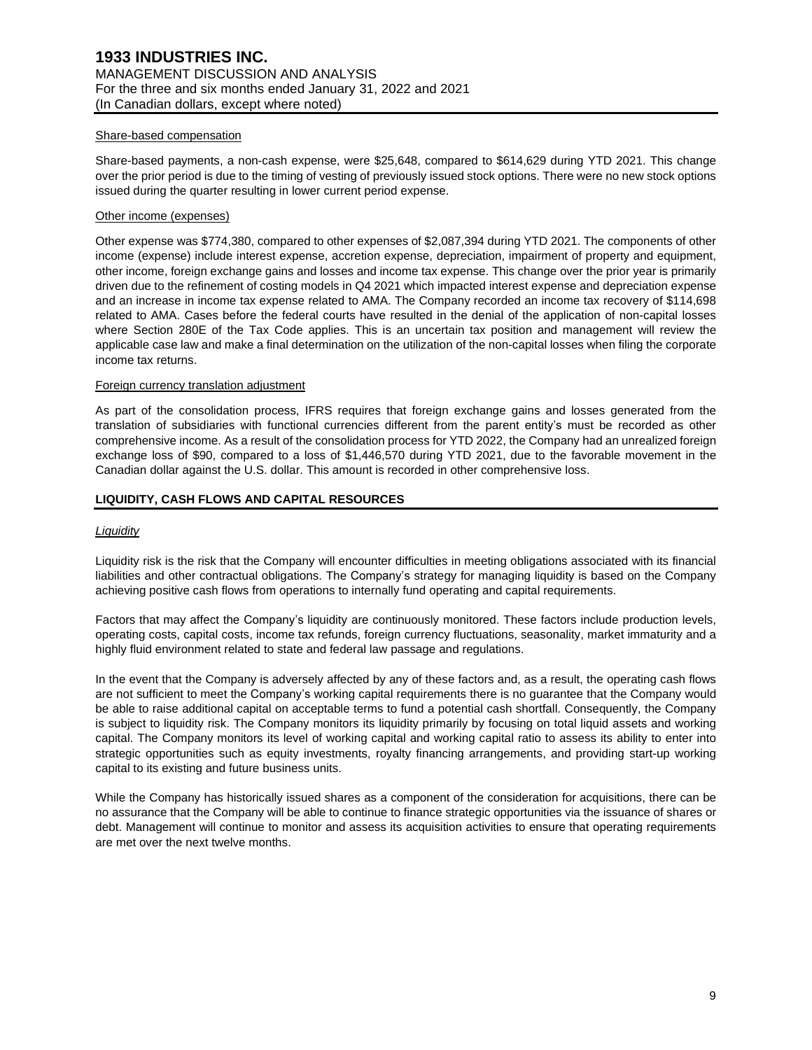#### Share-based compensation

Share-based payments, a non-cash expense, were \$25,648, compared to \$614,629 during YTD 2021. This change over the prior period is due to the timing of vesting of previously issued stock options. There were no new stock options issued during the quarter resulting in lower current period expense.

#### Other income (expenses)

Other expense was \$774,380, compared to other expenses of \$2,087,394 during YTD 2021. The components of other income (expense) include interest expense, accretion expense, depreciation, impairment of property and equipment, other income, foreign exchange gains and losses and income tax expense. This change over the prior year is primarily driven due to the refinement of costing models in Q4 2021 which impacted interest expense and depreciation expense and an increase in income tax expense related to AMA. The Company recorded an income tax recovery of \$114,698 related to AMA. Cases before the federal courts have resulted in the denial of the application of non-capital losses where Section 280E of the Tax Code applies. This is an uncertain tax position and management will review the applicable case law and make a final determination on the utilization of the non-capital losses when filing the corporate income tax returns.

### Foreign currency translation adjustment

As part of the consolidation process, IFRS requires that foreign exchange gains and losses generated from the translation of subsidiaries with functional currencies different from the parent entity's must be recorded as other comprehensive income. As a result of the consolidation process for YTD 2022, the Company had an unrealized foreign exchange loss of \$90, compared to a loss of \$1,446,570 during YTD 2021, due to the favorable movement in the Canadian dollar against the U.S. dollar. This amount is recorded in other comprehensive loss.

# **LIQUIDITY, CASH FLOWS AND CAPITAL RESOURCES**

#### *Liquidity*

Liquidity risk is the risk that the Company will encounter difficulties in meeting obligations associated with its financial liabilities and other contractual obligations. The Company's strategy for managing liquidity is based on the Company achieving positive cash flows from operations to internally fund operating and capital requirements.

Factors that may affect the Company's liquidity are continuously monitored. These factors include production levels, operating costs, capital costs, income tax refunds, foreign currency fluctuations, seasonality, market immaturity and a highly fluid environment related to state and federal law passage and regulations.

In the event that the Company is adversely affected by any of these factors and, as a result, the operating cash flows are not sufficient to meet the Company's working capital requirements there is no guarantee that the Company would be able to raise additional capital on acceptable terms to fund a potential cash shortfall. Consequently, the Company is subject to liquidity risk. The Company monitors its liquidity primarily by focusing on total liquid assets and working capital. The Company monitors its level of working capital and working capital ratio to assess its ability to enter into strategic opportunities such as equity investments, royalty financing arrangements, and providing start-up working capital to its existing and future business units.

While the Company has historically issued shares as a component of the consideration for acquisitions, there can be no assurance that the Company will be able to continue to finance strategic opportunities via the issuance of shares or debt. Management will continue to monitor and assess its acquisition activities to ensure that operating requirements are met over the next twelve months.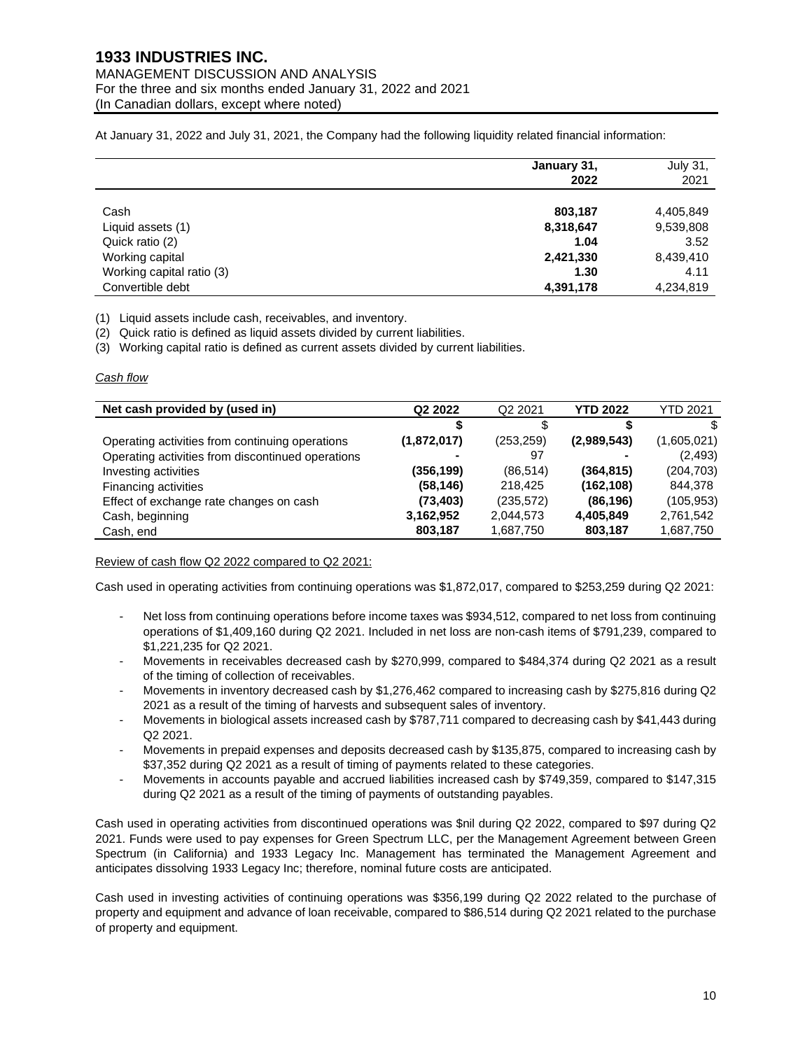# **1933 INDUSTRIES INC.** MANAGEMENT DISCUSSION AND ANALYSIS For the three and six months ended January 31, 2022 and 2021 (In Canadian dollars, except where noted)

At January 31, 2022 and July 31, 2021, the Company had the following liquidity related financial information:

|                           | January 31,<br>2022 | July 31,<br>2021 |
|---------------------------|---------------------|------------------|
| Cash                      | 803,187             | 4,405,849        |
| Liquid assets (1)         | 8,318,647           | 9,539,808        |
| Quick ratio (2)           | 1.04                | 3.52             |
| Working capital           | 2,421,330           | 8,439,410        |
| Working capital ratio (3) | 1.30                | 4.11             |
| Convertible debt          | 4,391,178           | 4,234,819        |

(1) Liquid assets include cash, receivables, and inventory.

(2) Quick ratio is defined as liquid assets divided by current liabilities.

(3) Working capital ratio is defined as current assets divided by current liabilities.

#### *Cash flow*

| Net cash provided by (used in)                    | Q <sub>2</sub> 2022 | Q <sub>2</sub> 2021 | YTD 2022    | <b>YTD 2021</b> |
|---------------------------------------------------|---------------------|---------------------|-------------|-----------------|
|                                                   |                     |                     |             | \$.             |
| Operating activities from continuing operations   | (1,872,017)         | (253, 259)          | (2,989,543) | (1,605,021)     |
| Operating activities from discontinued operations |                     | 97                  |             | (2, 493)        |
| Investing activities                              | (356, 199)          | (86, 514)           | (364, 815)  | (204, 703)      |
| Financing activities                              | (58, 146)           | 218,425             | (162, 108)  | 844,378         |
| Effect of exchange rate changes on cash           | (73, 403)           | (235, 572)          | (86, 196)   | (105, 953)      |
| Cash, beginning                                   | 3,162,952           | 2,044,573           | 4,405,849   | 2,761,542       |
| Cash, end                                         | 803,187             | 1,687,750           | 803,187     | 1,687,750       |

Review of cash flow Q2 2022 compared to Q2 2021:

Cash used in operating activities from continuing operations was \$1,872,017, compared to \$253,259 during Q2 2021:

- Net loss from continuing operations before income taxes was \$934,512, compared to net loss from continuing operations of \$1,409,160 during Q2 2021. Included in net loss are non-cash items of \$791,239, compared to \$1,221,235 for Q2 2021.
- Movements in receivables decreased cash by \$270,999, compared to \$484,374 during Q2 2021 as a result of the timing of collection of receivables.
- Movements in inventory decreased cash by \$1,276,462 compared to increasing cash by \$275,816 during Q2 2021 as a result of the timing of harvests and subsequent sales of inventory.
- Movements in biological assets increased cash by \$787,711 compared to decreasing cash by \$41,443 during Q2 2021.
- Movements in prepaid expenses and deposits decreased cash by \$135,875, compared to increasing cash by \$37,352 during Q2 2021 as a result of timing of payments related to these categories.
- Movements in accounts payable and accrued liabilities increased cash by \$749,359, compared to \$147,315 during Q2 2021 as a result of the timing of payments of outstanding payables.

Cash used in operating activities from discontinued operations was \$nil during Q2 2022, compared to \$97 during Q2 2021. Funds were used to pay expenses for Green Spectrum LLC, per the Management Agreement between Green Spectrum (in California) and 1933 Legacy Inc. Management has terminated the Management Agreement and anticipates dissolving 1933 Legacy Inc; therefore, nominal future costs are anticipated.

Cash used in investing activities of continuing operations was \$356,199 during Q2 2022 related to the purchase of property and equipment and advance of loan receivable, compared to \$86,514 during Q2 2021 related to the purchase of property and equipment.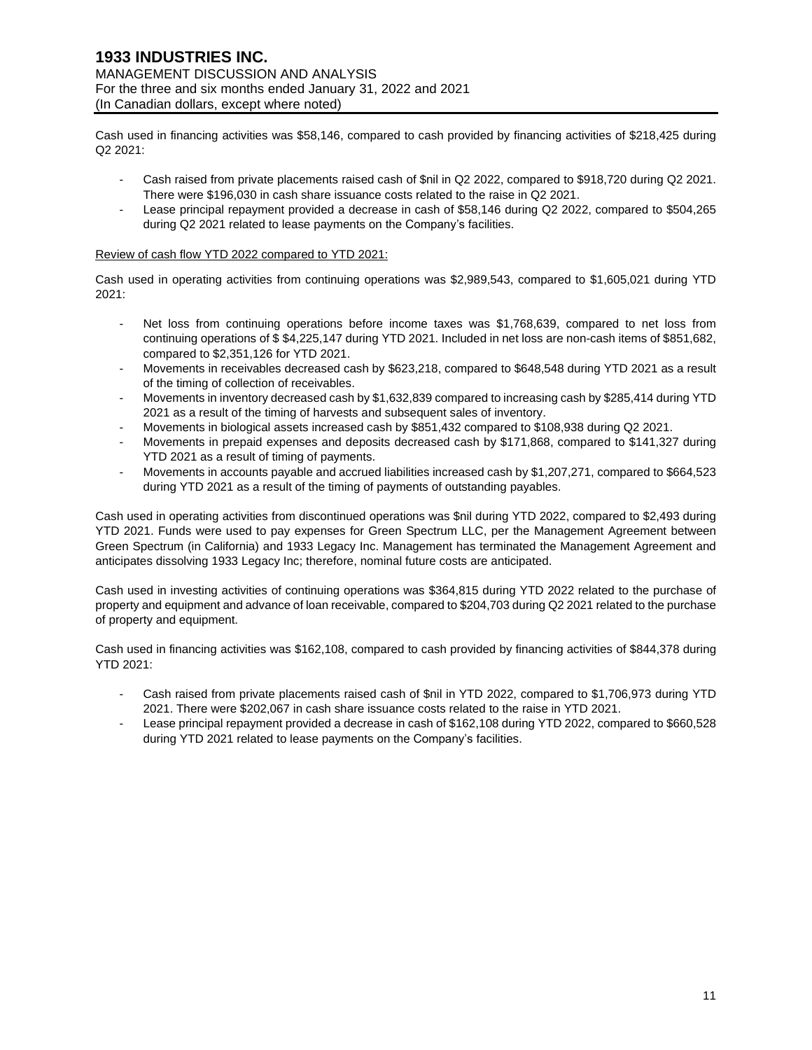Cash used in financing activities was \$58,146, compared to cash provided by financing activities of \$218,425 during Q2 2021:

- Cash raised from private placements raised cash of \$nil in Q2 2022, compared to \$918,720 during Q2 2021. There were \$196,030 in cash share issuance costs related to the raise in Q2 2021.
- Lease principal repayment provided a decrease in cash of \$58,146 during Q2 2022, compared to \$504,265 during Q2 2021 related to lease payments on the Company's facilities.

### Review of cash flow YTD 2022 compared to YTD 2021:

Cash used in operating activities from continuing operations was \$2,989,543, compared to \$1,605,021 during YTD 2021:

- Net loss from continuing operations before income taxes was \$1,768,639, compared to net loss from continuing operations of \$ \$4,225,147 during YTD 2021. Included in net loss are non-cash items of \$851,682, compared to \$2,351,126 for YTD 2021.
- Movements in receivables decreased cash by \$623,218, compared to \$648,548 during YTD 2021 as a result of the timing of collection of receivables.
- Movements in inventory decreased cash by \$1,632,839 compared to increasing cash by \$285,414 during YTD 2021 as a result of the timing of harvests and subsequent sales of inventory.
- Movements in biological assets increased cash by \$851,432 compared to \$108,938 during Q2 2021.
- Movements in prepaid expenses and deposits decreased cash by \$171,868, compared to \$141,327 during YTD 2021 as a result of timing of payments.
- Movements in accounts payable and accrued liabilities increased cash by \$1,207,271, compared to \$664,523 during YTD 2021 as a result of the timing of payments of outstanding payables.

Cash used in operating activities from discontinued operations was \$nil during YTD 2022, compared to \$2,493 during YTD 2021. Funds were used to pay expenses for Green Spectrum LLC, per the Management Agreement between Green Spectrum (in California) and 1933 Legacy Inc. Management has terminated the Management Agreement and anticipates dissolving 1933 Legacy Inc; therefore, nominal future costs are anticipated.

Cash used in investing activities of continuing operations was \$364,815 during YTD 2022 related to the purchase of property and equipment and advance of loan receivable, compared to \$204,703 during Q2 2021 related to the purchase of property and equipment.

Cash used in financing activities was \$162,108, compared to cash provided by financing activities of \$844,378 during YTD 2021:

- Cash raised from private placements raised cash of \$nil in YTD 2022, compared to \$1,706,973 during YTD 2021. There were \$202,067 in cash share issuance costs related to the raise in YTD 2021.
- Lease principal repayment provided a decrease in cash of \$162,108 during YTD 2022, compared to \$660,528 during YTD 2021 related to lease payments on the Company's facilities.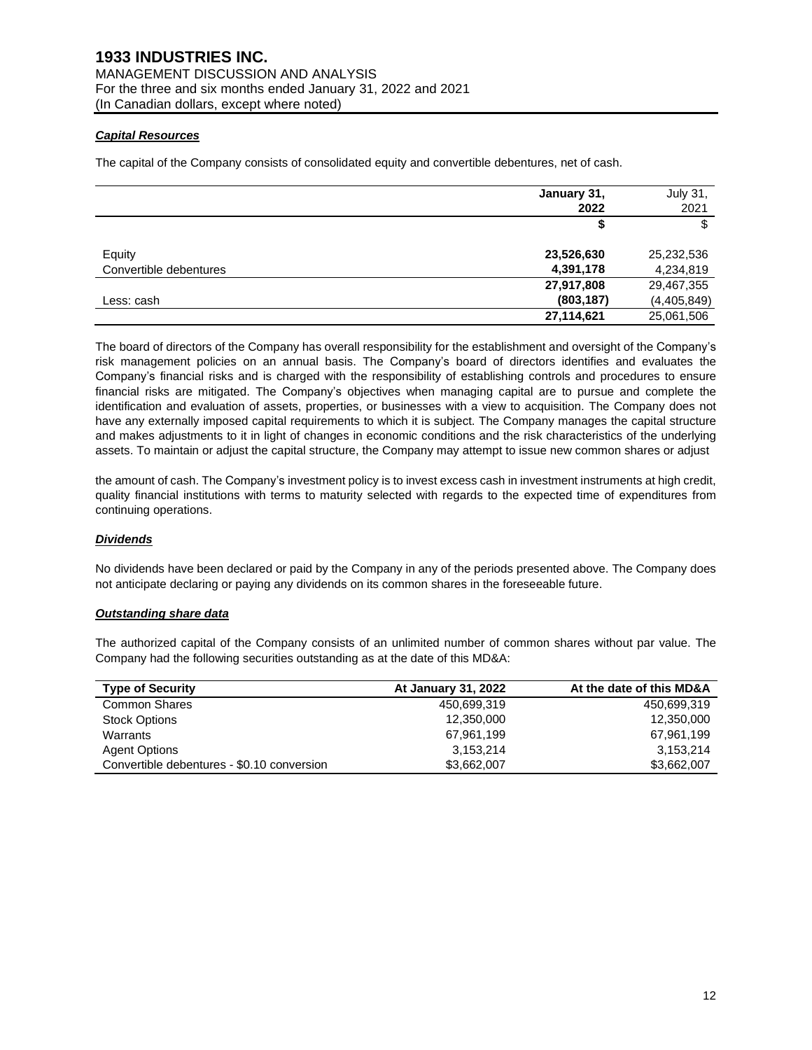# *Capital Resources*

The capital of the Company consists of consolidated equity and convertible debentures, net of cash.

|                        | January 31,<br>2022 | <b>July 31,</b><br>2021 |
|------------------------|---------------------|-------------------------|
|                        | S                   | \$                      |
| Equity                 | 23,526,630          | 25,232,536              |
| Convertible debentures | 4,391,178           | 4,234,819               |
|                        | 27,917,808          | 29,467,355              |
| Less: cash             | (803, 187)          | (4,405,849)             |
|                        | 27,114,621          | 25,061,506              |

The board of directors of the Company has overall responsibility for the establishment and oversight of the Company's risk management policies on an annual basis. The Company's board of directors identifies and evaluates the Company's financial risks and is charged with the responsibility of establishing controls and procedures to ensure financial risks are mitigated. The Company's objectives when managing capital are to pursue and complete the identification and evaluation of assets, properties, or businesses with a view to acquisition. The Company does not have any externally imposed capital requirements to which it is subject. The Company manages the capital structure and makes adjustments to it in light of changes in economic conditions and the risk characteristics of the underlying assets. To maintain or adjust the capital structure, the Company may attempt to issue new common shares or adjust

the amount of cash. The Company's investment policy is to invest excess cash in investment instruments at high credit, quality financial institutions with terms to maturity selected with regards to the expected time of expenditures from continuing operations.

# *Dividends*

No dividends have been declared or paid by the Company in any of the periods presented above. The Company does not anticipate declaring or paying any dividends on its common shares in the foreseeable future.

# *Outstanding share data*

The authorized capital of the Company consists of an unlimited number of common shares without par value. The Company had the following securities outstanding as at the date of this MD&A:

| <b>Type of Security</b>                    | <b>At January 31, 2022</b> | At the date of this MD&A |
|--------------------------------------------|----------------------------|--------------------------|
| Common Shares                              | 450.699.319                | 450.699.319              |
| <b>Stock Options</b>                       | 12,350,000                 | 12,350,000               |
| Warrants                                   | 67,961,199                 | 67,961,199               |
| <b>Agent Options</b>                       | 3.153.214                  | 3,153,214                |
| Convertible debentures - \$0.10 conversion | \$3,662,007                | \$3,662,007              |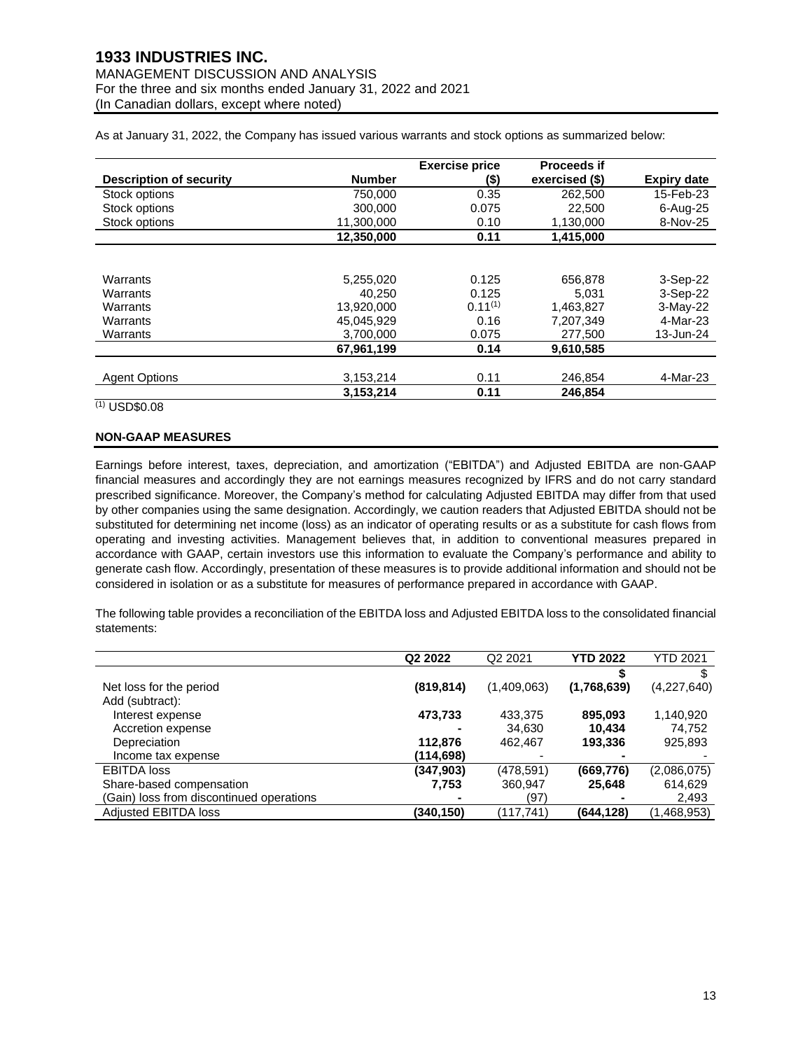# **1933 INDUSTRIES INC.** MANAGEMENT DISCUSSION AND ANALYSIS For the three and six months ended January 31, 2022 and 2021 (In Canadian dollars, except where noted)

As at January 31, 2022, the Company has issued various warrants and stock options as summarized below:

|                                |               | <b>Exercise price</b> | <b>Proceeds if</b> |                    |
|--------------------------------|---------------|-----------------------|--------------------|--------------------|
| <b>Description of security</b> | <b>Number</b> | $($ \$)               | exercised (\$)     | <b>Expiry date</b> |
| Stock options                  | 750.000       | 0.35                  | 262,500            | 15-Feb-23          |
| Stock options                  | 300.000       | 0.075                 | 22,500             | $6$ -Aug-25        |
| Stock options                  | 11.300.000    | 0.10                  | 1,130,000          | 8-Nov-25           |
|                                | 12.350.000    | 0.11                  | 1,415,000          |                    |
|                                |               |                       |                    |                    |
| Warrants                       | 5,255,020     | 0.125                 | 656,878            | 3-Sep-22           |
| Warrants                       | 40.250        | 0.125                 | 5.031              | 3-Sep-22           |
| Warrants                       | 13.920.000    | $0.11^{(1)}$          | 1.463.827          | 3-May-22           |
| Warrants                       | 45.045.929    | 0.16                  | 7.207.349          | 4-Mar-23           |
| Warrants                       | 3.700.000     | 0.075                 | 277.500            | 13-Jun-24          |
|                                | 67,961,199    | 0.14                  | 9,610,585          |                    |
|                                |               |                       |                    |                    |
| <b>Agent Options</b>           | 3,153,214     | 0.11                  | 246.854            | 4-Mar-23           |
|                                | 3.153.214     | 0.11                  | 246.854            |                    |

 $(1)$  USD\$0.08

### **NON-GAAP MEASURES**

Earnings before interest, taxes, depreciation, and amortization ("EBITDA") and Adjusted EBITDA are non-GAAP financial measures and accordingly they are not earnings measures recognized by IFRS and do not carry standard prescribed significance. Moreover, the Company's method for calculating Adjusted EBITDA may differ from that used by other companies using the same designation. Accordingly, we caution readers that Adjusted EBITDA should not be substituted for determining net income (loss) as an indicator of operating results or as a substitute for cash flows from operating and investing activities. Management believes that, in addition to conventional measures prepared in accordance with GAAP, certain investors use this information to evaluate the Company's performance and ability to generate cash flow. Accordingly, presentation of these measures is to provide additional information and should not be considered in isolation or as a substitute for measures of performance prepared in accordance with GAAP.

The following table provides a reconciliation of the EBITDA loss and Adjusted EBITDA loss to the consolidated financial statements:

|                                          | Q <sub>2</sub> 2022 | Q <sub>2</sub> 2021 | <b>YTD 2022</b> | <b>YTD 2021</b> |
|------------------------------------------|---------------------|---------------------|-----------------|-----------------|
|                                          |                     |                     |                 |                 |
| Net loss for the period                  | (819, 814)          | (1,409,063)         | (1,768,639)     | (4,227,640)     |
| Add (subtract):                          |                     |                     |                 |                 |
| Interest expense                         | 473,733             | 433,375             | 895,093         | 1,140,920       |
| Accretion expense                        |                     | 34,630              | 10.434          | 74,752          |
| Depreciation                             | 112,876             | 462,467             | 193,336         | 925,893         |
| Income tax expense                       | (114,698)           |                     |                 |                 |
| <b>EBITDA loss</b>                       | (347, 903)          | (478,591)           | (669, 776)      | (2,086,075)     |
| Share-based compensation                 | 7,753               | 360,947             | 25,648          | 614,629         |
| (Gain) loss from discontinued operations |                     | (97)                |                 | 2,493           |
| <b>Adjusted EBITDA loss</b>              | (340,150)           | (117.741)           | (644,128)       | (1,468,953)     |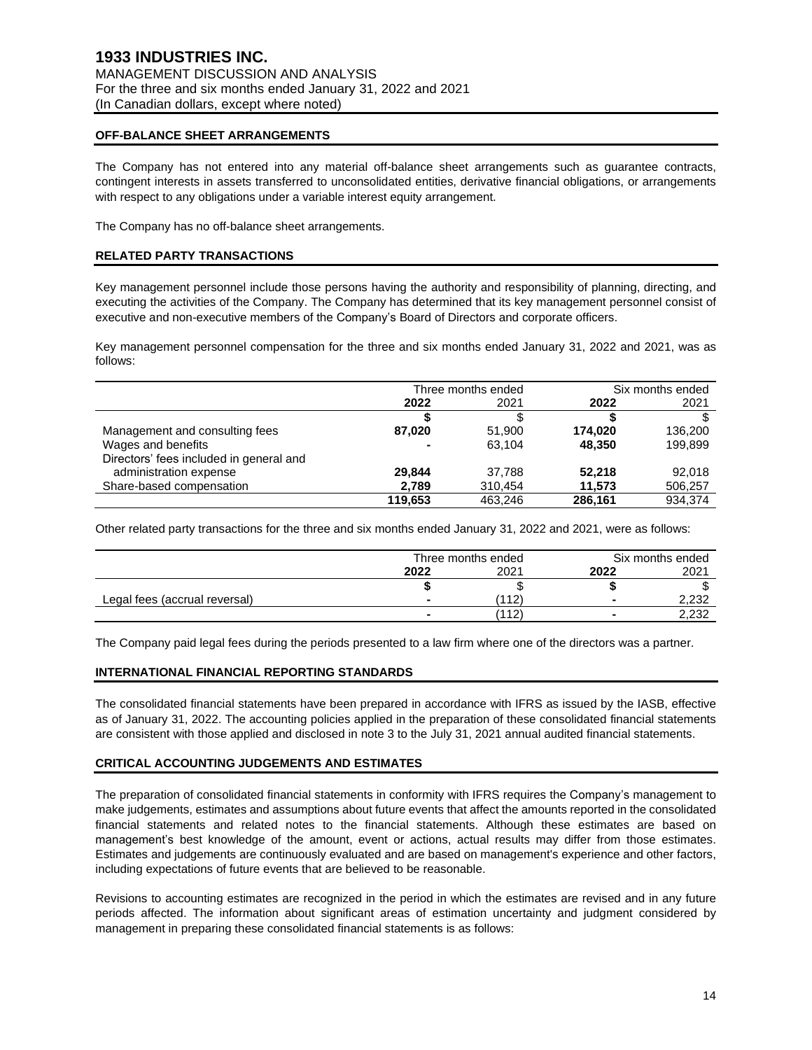# **OFF-BALANCE SHEET ARRANGEMENTS**

The Company has not entered into any material off-balance sheet arrangements such as guarantee contracts, contingent interests in assets transferred to unconsolidated entities, derivative financial obligations, or arrangements with respect to any obligations under a variable interest equity arrangement.

The Company has no off-balance sheet arrangements.

# **RELATED PARTY TRANSACTIONS**

Key management personnel include those persons having the authority and responsibility of planning, directing, and executing the activities of the Company. The Company has determined that its key management personnel consist of executive and non-executive members of the Company's Board of Directors and corporate officers.

Key management personnel compensation for the three and six months ended January 31, 2022 and 2021, was as follows:

|                                         | Three months ended |         | Six months ended |         |
|-----------------------------------------|--------------------|---------|------------------|---------|
|                                         | 2022               | 2021    | 2022             | 2021    |
|                                         |                    |         |                  |         |
| Management and consulting fees          | 87,020             | 51.900  | 174.020          | 136.200 |
| Wages and benefits                      |                    | 63.104  | 48,350           | 199,899 |
| Directors' fees included in general and |                    |         |                  |         |
| administration expense                  | 29.844             | 37.788  | 52.218           | 92.018  |
| Share-based compensation                | 2.789              | 310,454 | 11,573           | 506,257 |
|                                         | 119.653            | 463.246 | 286.161          | 934.374 |

Other related party transactions for the three and six months ended January 31, 2022 and 2021, were as follows:

|                               | Three months ended |      |      | Six months ended |  |
|-------------------------------|--------------------|------|------|------------------|--|
|                               | 2022               | 2021 | 2022 | 2021             |  |
|                               |                    |      |      |                  |  |
| Legal fees (accrual reversal) |                    | 112  |      | 2,232            |  |
|                               |                    | 112  |      | רכר ר<br>ے کی ت  |  |

The Company paid legal fees during the periods presented to a law firm where one of the directors was a partner.

### **INTERNATIONAL FINANCIAL REPORTING STANDARDS**

The consolidated financial statements have been prepared in accordance with IFRS as issued by the IASB, effective as of January 31, 2022. The accounting policies applied in the preparation of these consolidated financial statements are consistent with those applied and disclosed in note 3 to the July 31, 2021 annual audited financial statements.

### **CRITICAL ACCOUNTING JUDGEMENTS AND ESTIMATES**

The preparation of consolidated financial statements in conformity with IFRS requires the Company's management to make judgements, estimates and assumptions about future events that affect the amounts reported in the consolidated financial statements and related notes to the financial statements. Although these estimates are based on management's best knowledge of the amount, event or actions, actual results may differ from those estimates. Estimates and judgements are continuously evaluated and are based on management's experience and other factors, including expectations of future events that are believed to be reasonable.

Revisions to accounting estimates are recognized in the period in which the estimates are revised and in any future periods affected. The information about significant areas of estimation uncertainty and judgment considered by management in preparing these consolidated financial statements is as follows: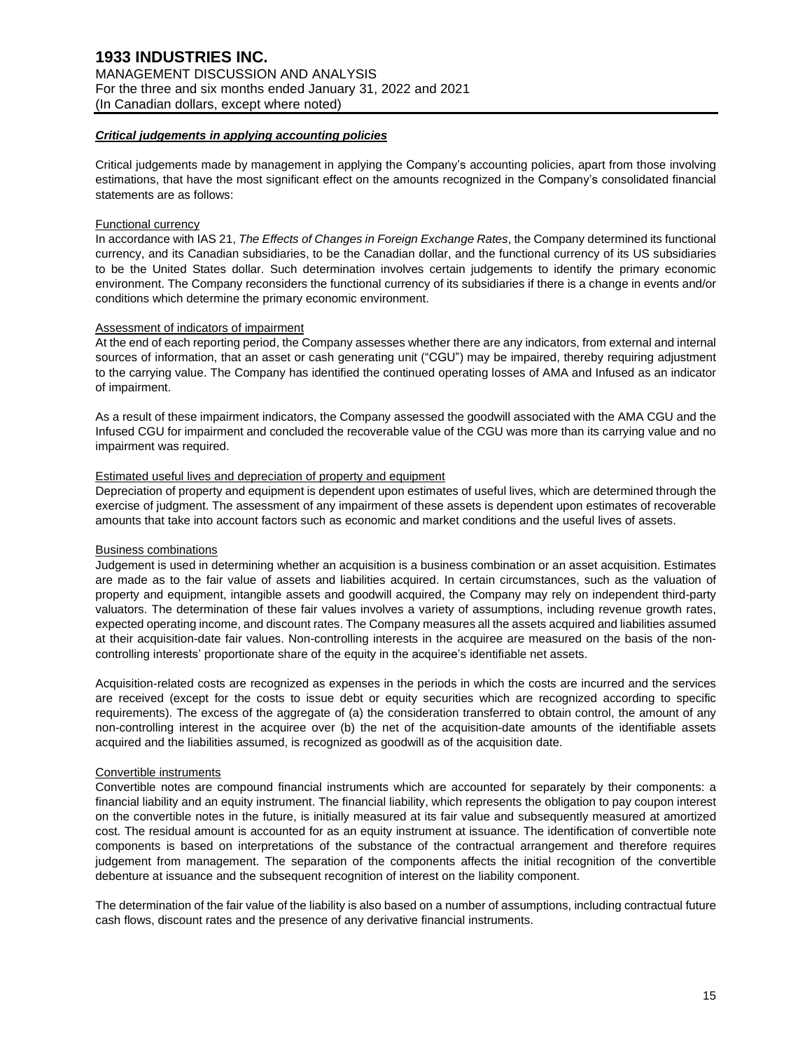#### *Critical judgements in applying accounting policies*

Critical judgements made by management in applying the Company's accounting policies, apart from those involving estimations, that have the most significant effect on the amounts recognized in the Company's consolidated financial statements are as follows:

#### Functional currency

In accordance with IAS 21, *The Effects of Changes in Foreign Exchange Rates*, the Company determined its functional currency, and its Canadian subsidiaries, to be the Canadian dollar, and the functional currency of its US subsidiaries to be the United States dollar. Such determination involves certain judgements to identify the primary economic environment. The Company reconsiders the functional currency of its subsidiaries if there is a change in events and/or conditions which determine the primary economic environment.

#### Assessment of indicators of impairment

At the end of each reporting period, the Company assesses whether there are any indicators, from external and internal sources of information, that an asset or cash generating unit ("CGU") may be impaired, thereby requiring adjustment to the carrying value. The Company has identified the continued operating losses of AMA and Infused as an indicator of impairment.

As a result of these impairment indicators, the Company assessed the goodwill associated with the AMA CGU and the Infused CGU for impairment and concluded the recoverable value of the CGU was more than its carrying value and no impairment was required.

#### Estimated useful lives and depreciation of property and equipment

Depreciation of property and equipment is dependent upon estimates of useful lives, which are determined through the exercise of judgment. The assessment of any impairment of these assets is dependent upon estimates of recoverable amounts that take into account factors such as economic and market conditions and the useful lives of assets.

### Business combinations

Judgement is used in determining whether an acquisition is a business combination or an asset acquisition. Estimates are made as to the fair value of assets and liabilities acquired. In certain circumstances, such as the valuation of property and equipment, intangible assets and goodwill acquired, the Company may rely on independent third-party valuators. The determination of these fair values involves a variety of assumptions, including revenue growth rates, expected operating income, and discount rates. The Company measures all the assets acquired and liabilities assumed at their acquisition-date fair values. Non-controlling interests in the acquiree are measured on the basis of the noncontrolling interests' proportionate share of the equity in the acquiree's identifiable net assets.

Acquisition-related costs are recognized as expenses in the periods in which the costs are incurred and the services are received (except for the costs to issue debt or equity securities which are recognized according to specific requirements). The excess of the aggregate of (a) the consideration transferred to obtain control, the amount of any non-controlling interest in the acquiree over (b) the net of the acquisition-date amounts of the identifiable assets acquired and the liabilities assumed, is recognized as goodwill as of the acquisition date.

#### Convertible instruments

Convertible notes are compound financial instruments which are accounted for separately by their components: a financial liability and an equity instrument. The financial liability, which represents the obligation to pay coupon interest on the convertible notes in the future, is initially measured at its fair value and subsequently measured at amortized cost. The residual amount is accounted for as an equity instrument at issuance. The identification of convertible note components is based on interpretations of the substance of the contractual arrangement and therefore requires judgement from management. The separation of the components affects the initial recognition of the convertible debenture at issuance and the subsequent recognition of interest on the liability component.

The determination of the fair value of the liability is also based on a number of assumptions, including contractual future cash flows, discount rates and the presence of any derivative financial instruments.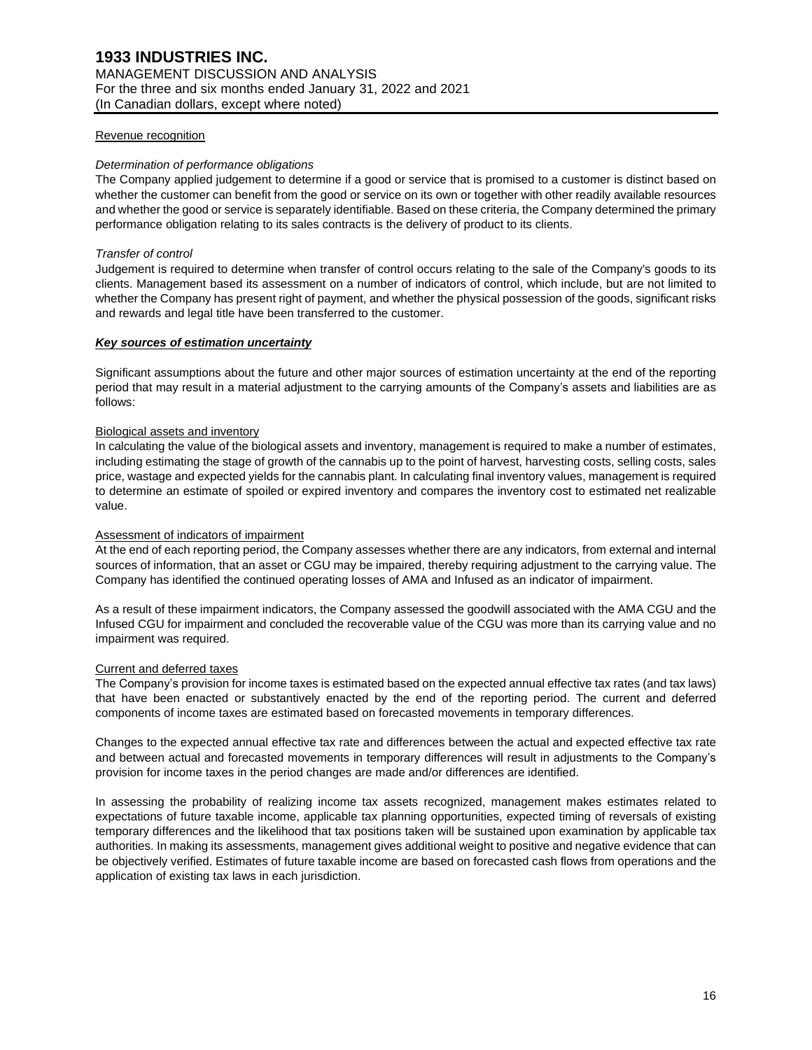#### Revenue recognition

#### *Determination of performance obligations*

The Company applied judgement to determine if a good or service that is promised to a customer is distinct based on whether the customer can benefit from the good or service on its own or together with other readily available resources and whether the good or service is separately identifiable. Based on these criteria, the Company determined the primary performance obligation relating to its sales contracts is the delivery of product to its clients.

#### *Transfer of control*

Judgement is required to determine when transfer of control occurs relating to the sale of the Company's goods to its clients. Management based its assessment on a number of indicators of control, which include, but are not limited to whether the Company has present right of payment, and whether the physical possession of the goods, significant risks and rewards and legal title have been transferred to the customer.

#### *Key sources of estimation uncertainty*

Significant assumptions about the future and other major sources of estimation uncertainty at the end of the reporting period that may result in a material adjustment to the carrying amounts of the Company's assets and liabilities are as follows:

### Biological assets and inventory

In calculating the value of the biological assets and inventory, management is required to make a number of estimates, including estimating the stage of growth of the cannabis up to the point of harvest, harvesting costs, selling costs, sales price, wastage and expected yields for the cannabis plant. In calculating final inventory values, management is required to determine an estimate of spoiled or expired inventory and compares the inventory cost to estimated net realizable value.

### Assessment of indicators of impairment

At the end of each reporting period, the Company assesses whether there are any indicators, from external and internal sources of information, that an asset or CGU may be impaired, thereby requiring adjustment to the carrying value. The Company has identified the continued operating losses of AMA and Infused as an indicator of impairment.

As a result of these impairment indicators, the Company assessed the goodwill associated with the AMA CGU and the Infused CGU for impairment and concluded the recoverable value of the CGU was more than its carrying value and no impairment was required.

#### Current and deferred taxes

The Company's provision for income taxes is estimated based on the expected annual effective tax rates (and tax laws) that have been enacted or substantively enacted by the end of the reporting period. The current and deferred components of income taxes are estimated based on forecasted movements in temporary differences.

Changes to the expected annual effective tax rate and differences between the actual and expected effective tax rate and between actual and forecasted movements in temporary differences will result in adjustments to the Company's provision for income taxes in the period changes are made and/or differences are identified.

In assessing the probability of realizing income tax assets recognized, management makes estimates related to expectations of future taxable income, applicable tax planning opportunities, expected timing of reversals of existing temporary differences and the likelihood that tax positions taken will be sustained upon examination by applicable tax authorities. In making its assessments, management gives additional weight to positive and negative evidence that can be objectively verified. Estimates of future taxable income are based on forecasted cash flows from operations and the application of existing tax laws in each jurisdiction.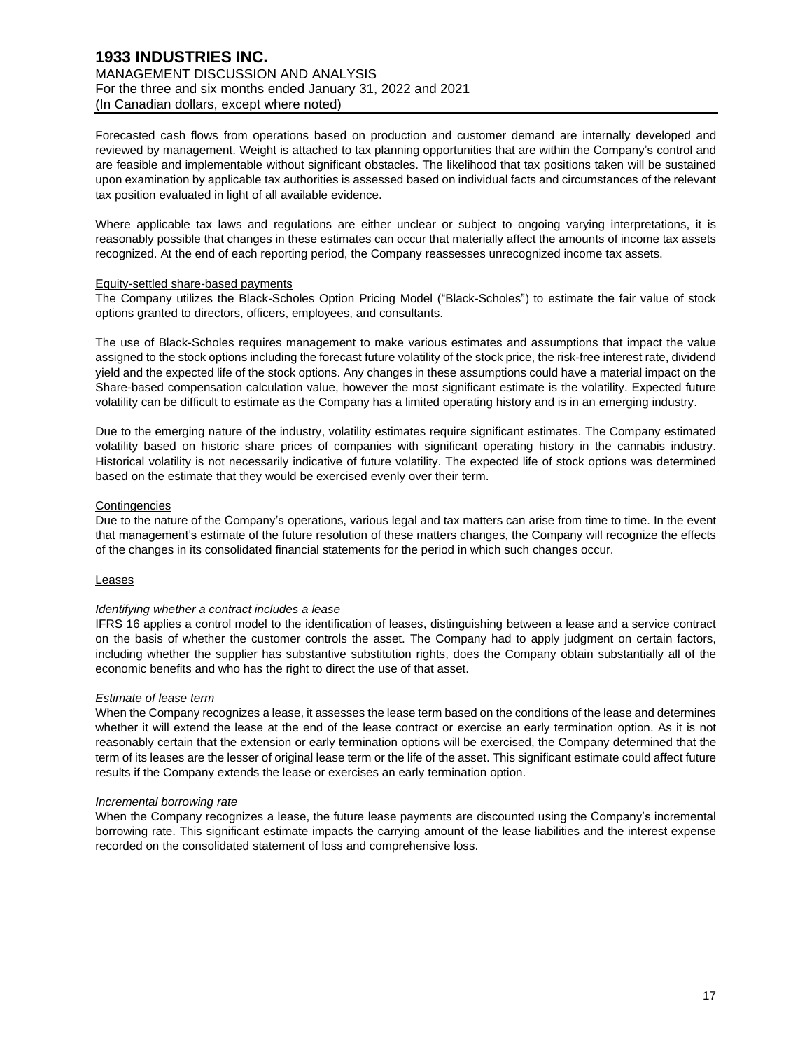# **1933 INDUSTRIES INC.** MANAGEMENT DISCUSSION AND ANALYSIS For the three and six months ended January 31, 2022 and 2021 (In Canadian dollars, except where noted)

Forecasted cash flows from operations based on production and customer demand are internally developed and reviewed by management. Weight is attached to tax planning opportunities that are within the Company's control and are feasible and implementable without significant obstacles. The likelihood that tax positions taken will be sustained upon examination by applicable tax authorities is assessed based on individual facts and circumstances of the relevant tax position evaluated in light of all available evidence.

Where applicable tax laws and regulations are either unclear or subject to ongoing varying interpretations, it is reasonably possible that changes in these estimates can occur that materially affect the amounts of income tax assets recognized. At the end of each reporting period, the Company reassesses unrecognized income tax assets.

#### Equity-settled share-based payments

The Company utilizes the Black-Scholes Option Pricing Model ("Black-Scholes") to estimate the fair value of stock options granted to directors, officers, employees, and consultants.

The use of Black-Scholes requires management to make various estimates and assumptions that impact the value assigned to the stock options including the forecast future volatility of the stock price, the risk-free interest rate, dividend yield and the expected life of the stock options. Any changes in these assumptions could have a material impact on the Share-based compensation calculation value, however the most significant estimate is the volatility. Expected future volatility can be difficult to estimate as the Company has a limited operating history and is in an emerging industry.

Due to the emerging nature of the industry, volatility estimates require significant estimates. The Company estimated volatility based on historic share prices of companies with significant operating history in the cannabis industry. Historical volatility is not necessarily indicative of future volatility. The expected life of stock options was determined based on the estimate that they would be exercised evenly over their term.

### **Contingencies**

Due to the nature of the Company's operations, various legal and tax matters can arise from time to time. In the event that management's estimate of the future resolution of these matters changes, the Company will recognize the effects of the changes in its consolidated financial statements for the period in which such changes occur.

### Leases

#### *Identifying whether a contract includes a lease*

IFRS 16 applies a control model to the identification of leases, distinguishing between a lease and a service contract on the basis of whether the customer controls the asset. The Company had to apply judgment on certain factors, including whether the supplier has substantive substitution rights, does the Company obtain substantially all of the economic benefits and who has the right to direct the use of that asset.

#### *Estimate of lease term*

When the Company recognizes a lease, it assesses the lease term based on the conditions of the lease and determines whether it will extend the lease at the end of the lease contract or exercise an early termination option. As it is not reasonably certain that the extension or early termination options will be exercised, the Company determined that the term of its leases are the lesser of original lease term or the life of the asset. This significant estimate could affect future results if the Company extends the lease or exercises an early termination option.

#### *Incremental borrowing rate*

When the Company recognizes a lease, the future lease payments are discounted using the Company's incremental borrowing rate. This significant estimate impacts the carrying amount of the lease liabilities and the interest expense recorded on the consolidated statement of loss and comprehensive loss.